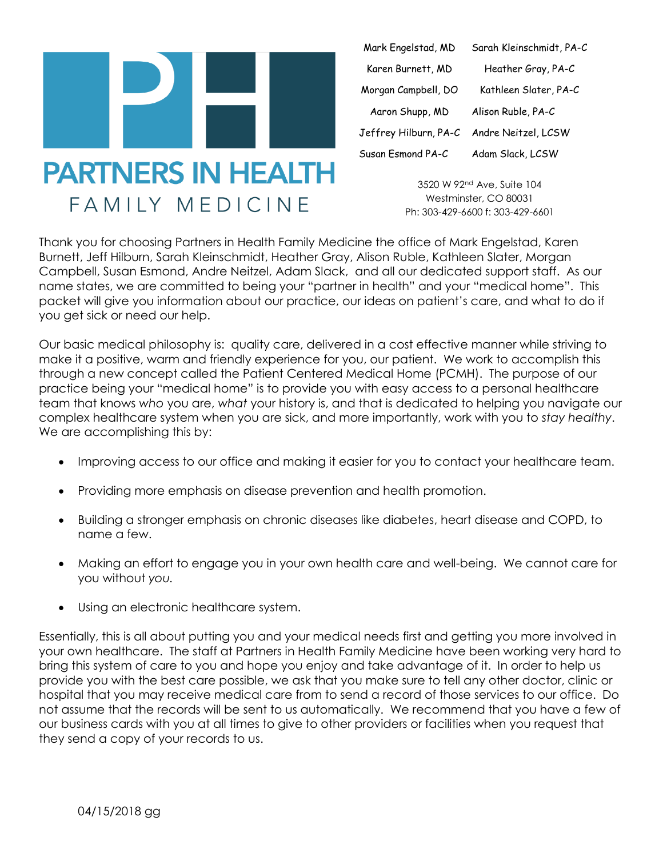

| Mark Engelstad, MD    | Sarah Kleinschmidt, PA-C |
|-----------------------|--------------------------|
| Karen Burnett, MD     | Heather Gray, PA-C       |
| Morgan Campbell, DO   | Kathleen Slater, PA-C    |
| Aaron Shupp, MD       | Alison Ruble, PA-C       |
| Jeffrey Hilburn, PA-C | Andre Neitzel, LCSW      |
| Susan Esmond PA-C     | Adam Slack, LCSW         |

3520 W 92nd Ave, Suite 104 Westminster, CO 80031 Ph: 303-429-6600 f: 303-429-6601

Thank you for choosing Partners in Health Family Medicine the office of Mark Engelstad, Karen Burnett, Jeff Hilburn, Sarah Kleinschmidt, Heather Gray, Alison Ruble, Kathleen Slater, Morgan Campbell, Susan Esmond, Andre Neitzel, Adam Slack, and all our dedicated support staff. As our name states, we are committed to being your "partner in health" and your "medical home". This packet will give you information about our practice, our ideas on patient's care, and what to do if you get sick or need our help.

Our basic medical philosophy is: quality care, delivered in a cost effective manner while striving to make it a positive, warm and friendly experience for you, our patient. We work to accomplish this through a new concept called the Patient Centered Medical Home (PCMH). The purpose of our practice being your "medical home" is to provide you with easy access to a personal healthcare team that knows *who* you are, *what* your history is, and that is dedicated to helping you navigate our complex healthcare system when you are sick, and more importantly, work with you to *stay healthy*. We are accomplishing this by:

- Improving access to our office and making it easier for you to contact your healthcare team.
- Providing more emphasis on disease prevention and health promotion.
- Building a stronger emphasis on chronic diseases like diabetes, heart disease and COPD, to name a few.
- Making an effort to engage you in your own health care and well-being. We cannot care for you without *you.*
- Using an electronic healthcare system.

Essentially, this is all about putting you and your medical needs first and getting you more involved in your own healthcare. The staff at Partners in Health Family Medicine have been working very hard to bring this system of care to you and hope you enjoy and take advantage of it. In order to help us provide you with the best care possible, we ask that you make sure to tell any other doctor, clinic or hospital that you may receive medical care from to send a record of those services to our office. Do not assume that the records will be sent to us automatically. We recommend that you have a few of our business cards with you at all times to give to other providers or facilities when you request that they send a copy of your records to us.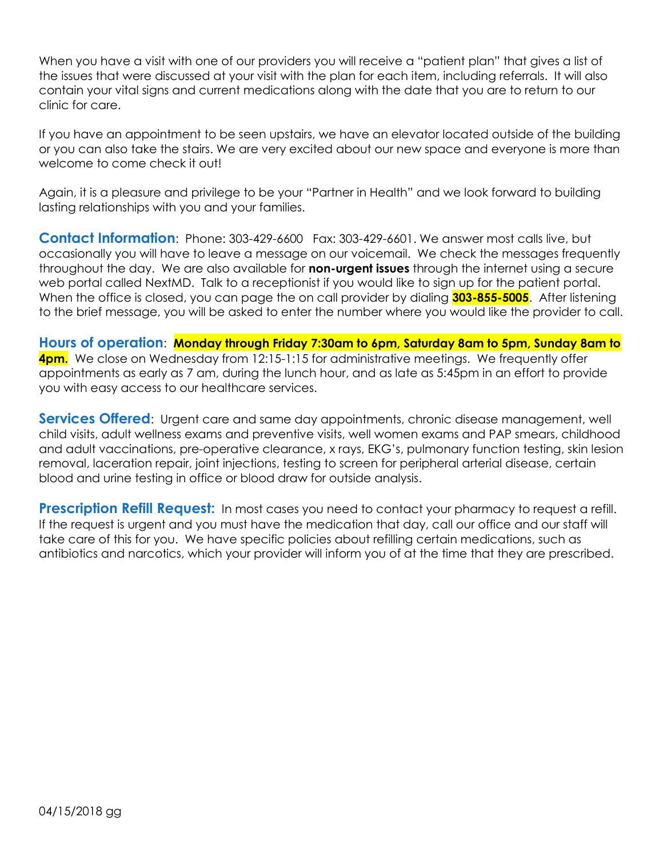When you have a visit with one of our providers you will receive a "patient plan" that gives a list of the issues that were discussed at your visit with the plan for each item, including referrals. It will also contain your vital signs and current medications along with the date that you are to return to our clinic for care.

If you have an appointment to be seen upstairs, we have an elevator located outside of the building or you can also take the stairs. We are very excited about our new space and everyone is more than welcome to come check it out!

Again, it is a pleasure and privilege to be your "Partner in Health" and we look forward to building lasting relationships with you and your families.

**Contact Information**: Phone: 303-429-6600 Fax: 303-429-6601. We answer most calls live, but occasionally you will have to leave a message on our voicemail. We check the messages frequently throughout the day. We are also available for **non-urgent issues** through the internet using a secure web portal called NextMD. Talk to a receptionist if you would like to sign up for the patient portal. When the office is closed, you can page the on call provider by dialing **303-855-5005**. After listening to the brief message, you will be asked to enter the number where you would like the provider to call.

**Hours of operation**: **Monday through Friday 7:30am to 6pm, Saturday 8am to 5pm, Sunday 8am to 4pm.** We close on Wednesday from 12:15-1:15 for administrative meetings. We frequently offer appointments as early as 7 am, during the lunch hour, and as late as 5:45pm in an effort to provide you with easy access to our healthcare services.

**Services Offered**: Urgent care and same day appointments, chronic disease management, well child visits, adult wellness exams and preventive visits, well women exams and PAP smears, childhood and adult vaccinations, pre-operative clearance, x rays, EKG's, pulmonary function testing, skin lesion removal, laceration repair, joint injections, testing to screen for peripheral arterial disease, certain blood and urine testing in office or blood draw for outside analysis.

**Prescription Refill Request:** In most cases you need to contact your pharmacy to request a refill. If the request is urgent and you must have the medication that day, call our office and our staff will take care of this for you. We have specific policies about refilling certain medications, such as antibiotics and narcotics, which your provider will inform you of at the time that they are prescribed.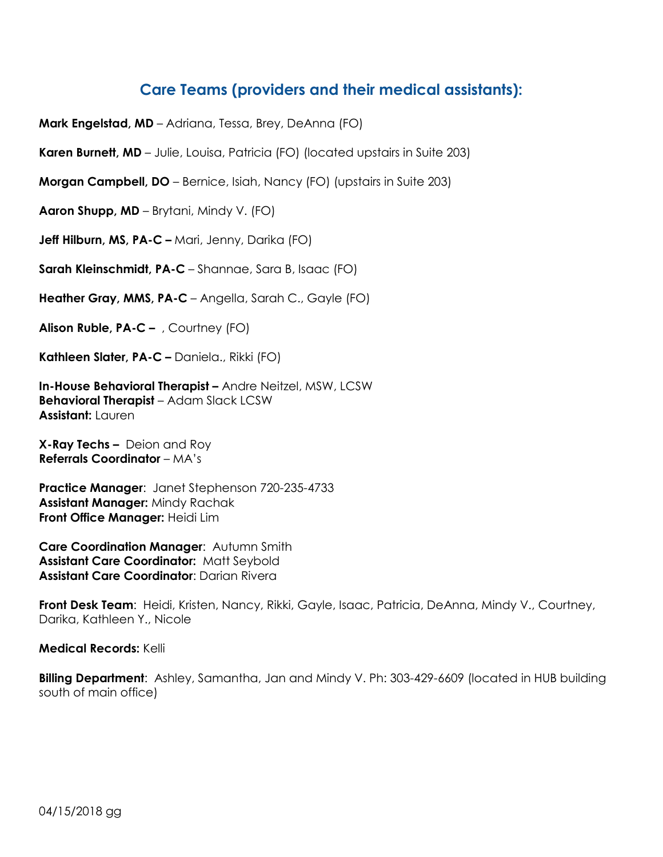## **Care Teams (providers and their medical assistants):**

**Mark Engelstad, MD** – Adriana, Tessa, Brey, DeAnna (FO)

**Karen Burnett, MD** – Julie, Louisa, Patricia (FO) (located upstairs in Suite 203)

**Morgan Campbell, DO** – Bernice, Isiah, Nancy (FO) (upstairs in Suite 203)

**Aaron Shupp, MD** – Brytani, Mindy V. (FO)

**Jeff Hilburn, MS, PA-C –** Mari, Jenny, Darika (FO)

**Sarah Kleinschmidt, PA-C** – Shannae, Sara B, Isaac (FO)

**Heather Gray, MMS, PA-C** – Angella, Sarah C., Gayle (FO)

**Alison Ruble, PA-C –** , Courtney (FO)

**Kathleen Slater, PA-C –** Daniela., Rikki (FO)

**In-House Behavioral Therapist –** Andre Neitzel, MSW, LCSW **Behavioral Therapist** – Adam Slack LCSW **Assistant:** Lauren

**X-Ray Techs –** Deion and Roy **Referrals Coordinator** – MA's

**Practice Manager**: Janet Stephenson 720-235-4733 **Assistant Manager:** Mindy Rachak **Front Office Manager:** Heidi Lim

**Care Coordination Manager**: Autumn Smith **Assistant Care Coordinator:** Matt Seybold **Assistant Care Coordinator**: Darian Rivera

**Front Desk Team**: Heidi, Kristen, Nancy, Rikki, Gayle, Isaac, Patricia, DeAnna, Mindy V., Courtney, Darika, Kathleen Y., Nicole

**Medical Records:** Kelli

**Billing Department**: Ashley, Samantha, Jan and Mindy V. Ph: 303-429-6609 (located in HUB building south of main office)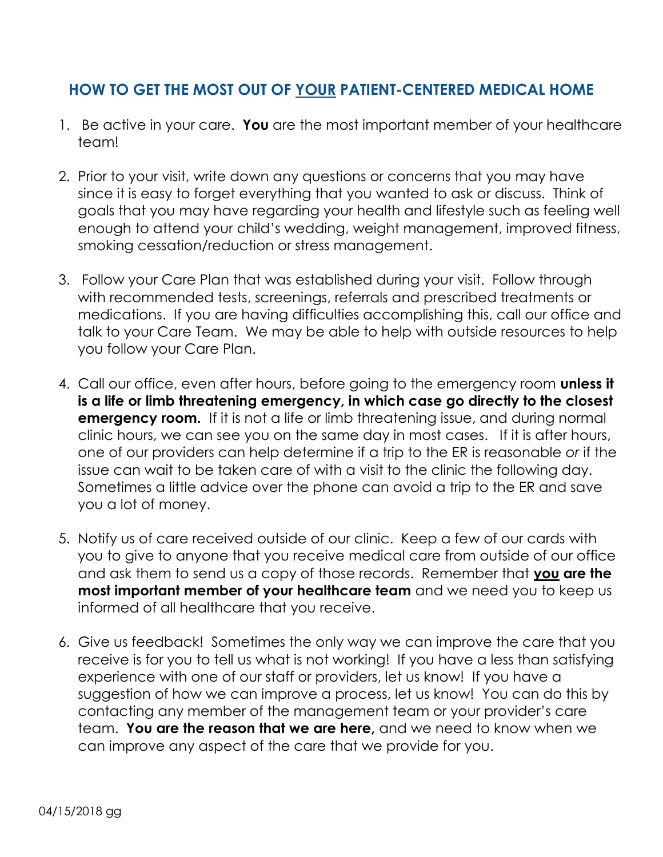## **HOW TO GET THE MOST OUT OF YOUR PATIENT-CENTERED MEDICAL HOME**

- 1. Be active in your care. **You** are the most important member of your healthcare team!
- 2. Prior to your visit, write down any questions or concerns that you may have since it is easy to forget everything that you wanted to ask or discuss. Think of goals that you may have regarding your health and lifestyle such as feeling well enough to attend your child's wedding, weight management, improved fitness, smoking cessation/reduction or stress management.
- 3. Follow your Care Plan that was established during your visit. Follow through with recommended tests, screenings, referrals and prescribed treatments or medications. If you are having difficulties accomplishing this, call our office and talk to your Care Team. We may be able to help with outside resources to help you follow your Care Plan.
- 4. Call our office, even after hours, before going to the emergency room **unless it is a life or limb threatening emergency, in which case go directly to the closest emergency room.** If it is not a life or limb threatening issue, and during normal clinic hours, we can see you on the same day in most cases. If it is after hours, one of our providers can help determine if a trip to the ER is reasonable *or* if the issue can wait to be taken care of with a visit to the clinic the following day. Sometimes a little advice over the phone can avoid a trip to the ER and save you a lot of money.
- 5. Notify us of care received outside of our clinic. Keep a few of our cards with you to give to anyone that you receive medical care from outside of our office and ask them to send us a copy of those records. Remember that **you are the most important member of your healthcare team** and we need you to keep us informed of all healthcare that you receive.
- 6. Give us feedback! Sometimes the only way we can improve the care that you receive is for you to tell us what is not working! If you have a less than satisfying experience with one of our staff or providers, let us know! If you have a suggestion of how we can improve a process, let us know! You can do this by contacting any member of the management team or your provider's care team. **You are the reason that we are here,** and we need to know when we can improve any aspect of the care that we provide for you.